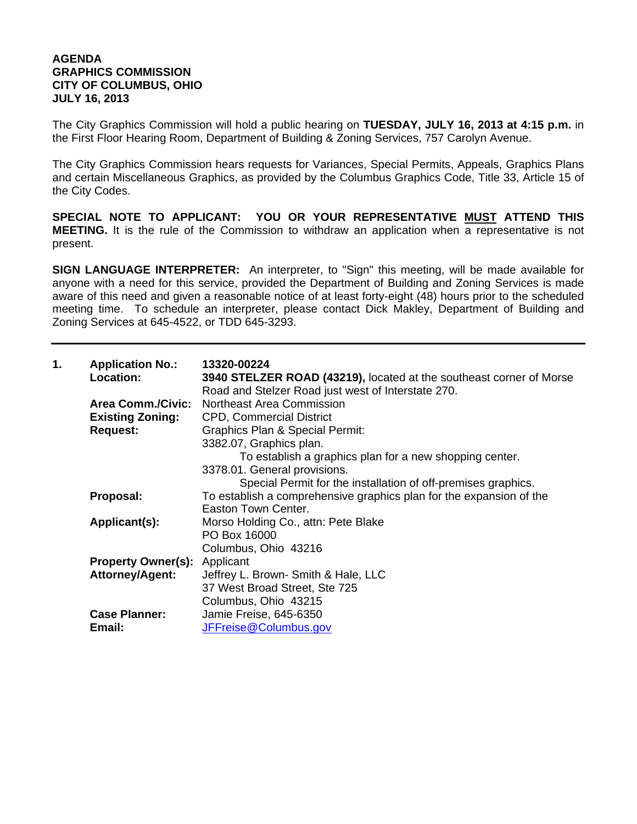## **AGENDA GRAPHICS COMMISSION CITY OF COLUMBUS, OHIO JULY 16, 2013**

The City Graphics Commission will hold a public hearing on **TUESDAY, JULY 16, 2013 at 4:15 p.m.** in the First Floor Hearing Room, Department of Building & Zoning Services, 757 Carolyn Avenue.

The City Graphics Commission hears requests for Variances, Special Permits, Appeals, Graphics Plans and certain Miscellaneous Graphics, as provided by the Columbus Graphics Code, Title 33, Article 15 of the City Codes.

**SPECIAL NOTE TO APPLICANT: YOU OR YOUR REPRESENTATIVE MUST ATTEND THIS MEETING.** It is the rule of the Commission to withdraw an application when a representative is not present.

**SIGN LANGUAGE INTERPRETER:** An interpreter, to "Sign" this meeting, will be made available for anyone with a need for this service, provided the Department of Building and Zoning Services is made aware of this need and given a reasonable notice of at least forty-eight (48) hours prior to the scheduled meeting time. To schedule an interpreter, please contact Dick Makley, Department of Building and Zoning Services at 645-4522, or TDD 645-3293.

| 1. | <b>Application No.:</b><br>Location: | 13320-00224<br>3940 STELZER ROAD (43219), located at the southeast corner of Morse                |
|----|--------------------------------------|---------------------------------------------------------------------------------------------------|
|    |                                      | Road and Stelzer Road just west of Interstate 270.<br>Area Comm./Civic: Northeast Area Commission |
|    |                                      |                                                                                                   |
|    | <b>Existing Zoning:</b>              | <b>CPD, Commercial District</b>                                                                   |
|    | <b>Request:</b>                      | <b>Graphics Plan &amp; Special Permit:</b>                                                        |
|    |                                      | 3382.07, Graphics plan.                                                                           |
|    |                                      | To establish a graphics plan for a new shopping center.                                           |
|    |                                      | 3378.01. General provisions.                                                                      |
|    |                                      | Special Permit for the installation of off-premises graphics.                                     |
|    | Proposal:                            | To establish a comprehensive graphics plan for the expansion of the                               |
|    |                                      | Easton Town Center.                                                                               |
|    | Applicant(s):                        | Morso Holding Co., attn: Pete Blake                                                               |
|    |                                      | PO Box 16000                                                                                      |
|    |                                      | Columbus, Ohio 43216                                                                              |
|    | <b>Property Owner(s):</b> Applicant  |                                                                                                   |
|    | Attorney/Agent:                      | Jeffrey L. Brown- Smith & Hale, LLC                                                               |
|    |                                      | 37 West Broad Street, Ste 725                                                                     |
|    |                                      | Columbus, Ohio 43215                                                                              |
|    | <b>Case Planner:</b>                 | Jamie Freise, 645-6350                                                                            |
|    | Email:                               | JFFreise@Columbus.gov                                                                             |
|    |                                      |                                                                                                   |